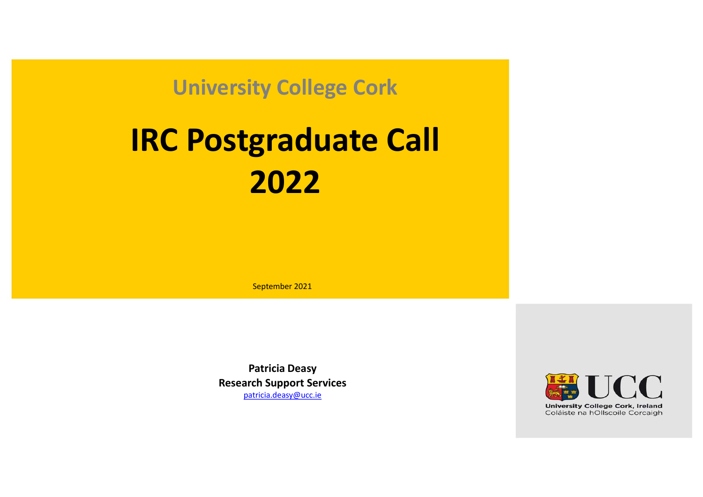University College Cork

# IRC Postgraduate Call 2022

September 2021

Patricia Deasy Research Support Services patricia.deasy@ucc.ie

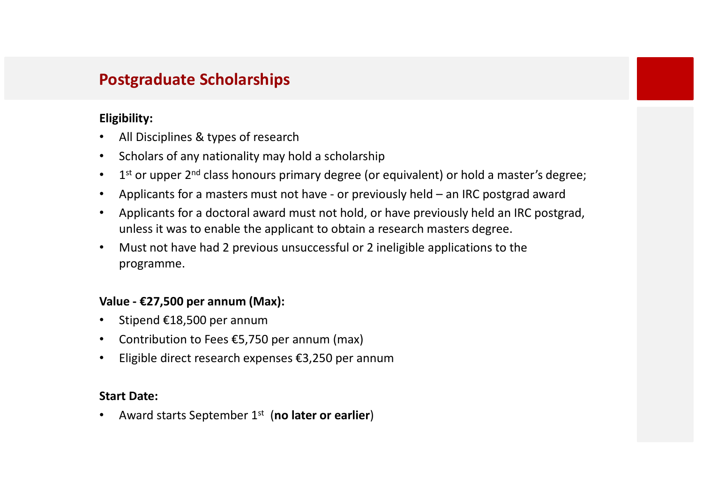# Postgraduate Scholarships

### Eligibility:

- All Disciplines & types of research
- Scholars of any nationality may hold a scholarship
- $\bullet$  1st or upper 2<sup>nd</sup> class honours primary degree (or equivalent) or hold a master's degree:
- 
- **Postgraduate Scholarships**<br> **Eligibility:**<br>
 All Disciplines & types of research<br>
 Scholars of any nationality may hold a scholarship<br>
 1<sup>4</sup> or upper 2<sup>nd</sup> class honours primary degree (or equivalent) or hold a master' • Applicants for a doctoral award must not hold, or have previously held an IRC postgrad, unless it was to enable the applicant to obtain a research masters degree. Eligibility:<br>
• All Disciplines & types of research<br>
• Scholars of any nationality may hold a scholarship<br>
• 1<sup>st</sup> or upper 2<sup>nd</sup> class honours primary degree (or equivalent) or ho<br>
• Applicants for a masters must not ha
- Must not have had 2 previous unsuccessful or 2 ineligible applications to the programme.

- 
- Contribution to Fees  $£5,750$  per annum (max)
- Eligible direct research expenses €3,250 per annum

### Start Date:

• Award starts September  $1<sup>st</sup>$  (no later or earlier)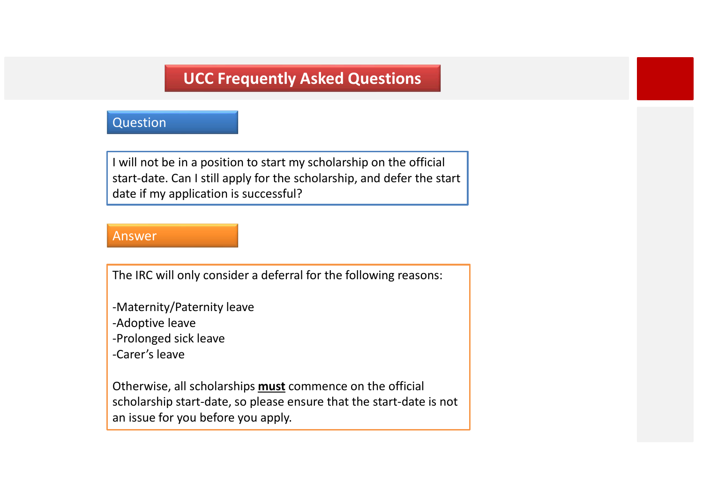### Question

I will not be in a position to start my scholarship on the official start-date. Can I still apply for the scholarship, and defer the start date if my application is successful?

### Answer

The IRC will only consider a deferral for the following reasons:

- -Maternity/Paternity leave
- -Adoptive leave
- -Prolonged sick leave
- -Carer's leave

Otherwise, all scholarships **must** commence on the official scholarship start-date, so please ensure that the start-date is not an issue for you before you apply.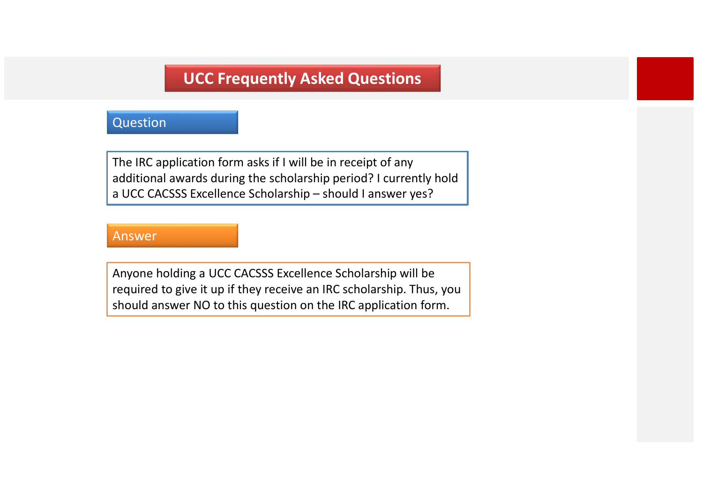### Question

The IRC application form asks if I will be in receipt of any additional awards during the scholarship period? I currently hold **UCC Frequently Asked Questions**<br>
Question<br>
The IRC application form asks if I will be in receipt of any<br>
additional awards during the scholarship period? I currently hold<br>
a UCC CACSSS Excellence Scholarship – should I an

### Answer

Anyone holding a UCC CACSSS Excellence Scholarship will be required to give it up if they receive an IRC scholarship. Thus, you should answer NO to this question on the IRC application form.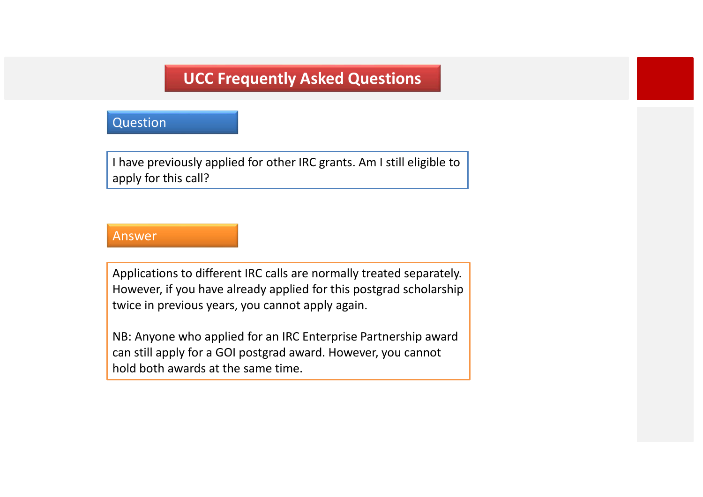### Question

I have previously applied for other IRC grants. Am I still eligible to apply for this call?

### Answer

Applications to different IRC calls are normally treated separately. However, if you have already applied for this postgrad scholarship twice in previous years, you cannot apply again.

NB: Anyone who applied for an IRC Enterprise Partnership award can still apply for a GOI postgrad award. However, you cannot hold both awards at the same time.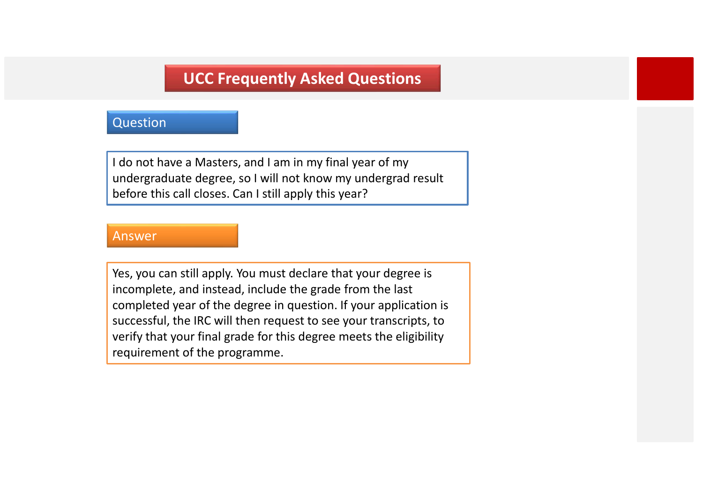### Question

I do not have a Masters, and I am in my final year of my undergraduate degree, so I will not know my undergrad result before this call closes. Can I still apply this year?

### Answer

Yes, you can still apply. You must declare that your degree is incomplete, and instead, include the grade from the last completed year of the degree in question. If your application is successful, the IRC will then request to see your transcripts, to verify that your final grade for this degree meets the eligibility requirement of the programme.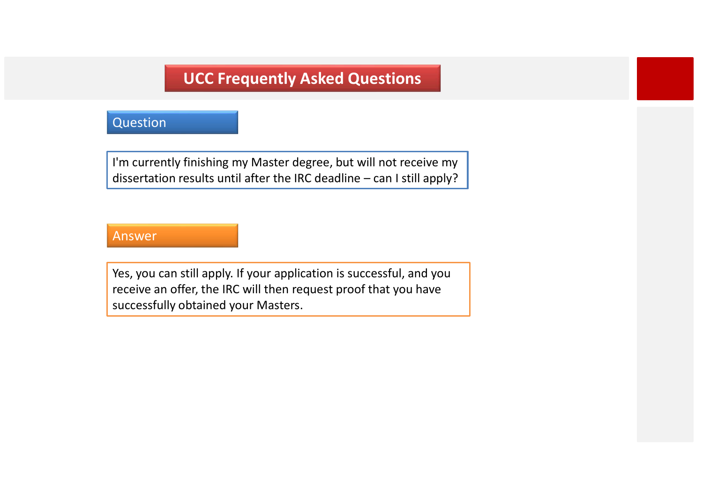### **Question**

I'm currently finishing my Master degree, but will not receive my **UCC Frequently Asked Questions**<br>Question<br>I'm currently finishing my Master degree, but will not receive my<br>dissertation results until after the IRC deadline – can I still apply?<br>Answer

### Answer

Yes, you can still apply. If your application is successful, and you receive an offer, the IRC will then request proof that you have successfully obtained your Masters.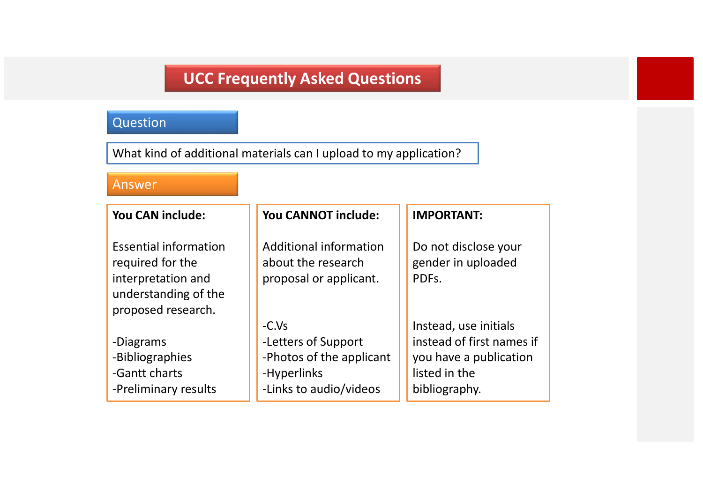# **Question**

What kind of additional materials can I upload to my application?

### Answer

| You CAN include:                                                                                                     | You CANNOT include:                                                                                 | <b>IMPORTANT:</b>                                                                                              |
|----------------------------------------------------------------------------------------------------------------------|-----------------------------------------------------------------------------------------------------|----------------------------------------------------------------------------------------------------------------|
| <b>Essential information</b><br>required for the<br>interpretation and<br>understanding of the<br>proposed research. | <b>Additional information</b><br>about the research<br>proposal or applicant.                       | Do not disclose your<br>gender in uploaded<br>PDFs.                                                            |
| -Diagrams<br>-Bibliographies<br>-Gantt charts<br>-Preliminary results                                                | $-C.Vs$<br>-Letters of Support<br>-Photos of the applicant<br>-Hyperlinks<br>-Links to audio/videos | Instead, use initials<br>instead of first names if<br>you have a publication<br>listed in the<br>bibliography. |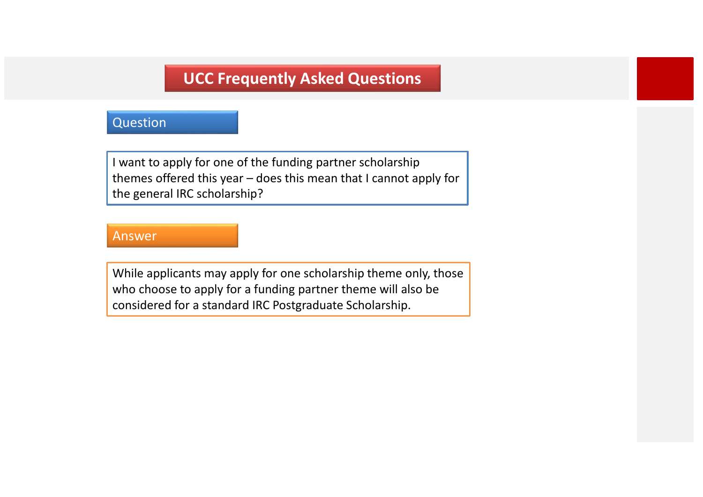### **Question**

I want to apply for one of the funding partner scholarship **UCC Frequently Asked Questions**<br>
Question<br>
I want to apply for one of the funding partner scholarship<br>
Ithemes offered this year – does this mean that I cannot apply for<br>
the general IRC scholarship?<br>
Answer the general IRC scholarship?

### Answer

While applicants may apply for one scholarship theme only, those who choose to apply for a funding partner theme will also be considered for a standard IRC Postgraduate Scholarship.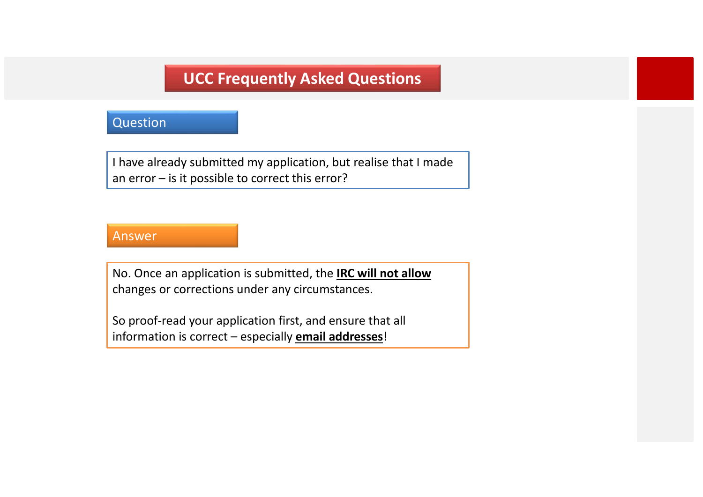### **Question**

I have already submitted my application, but realise that I made **and Control Control Control Control Control Control Control Control Control Control Control Control Control Control Control Control Control Control Control Control Control Control Control Control Control Control Control C** I have already submitted my application, but realise that I made<br>an error – is it possible to correct this error?<br>Answer<br>No. Once an application is submitted, the <u>IRC will not allow</u><br>changes or corrections under any circu

### Answer

No. Once an application is submitted, the **IRC will not allow** changes or corrections under any circumstances.

So proof-read your application first, and ensure that all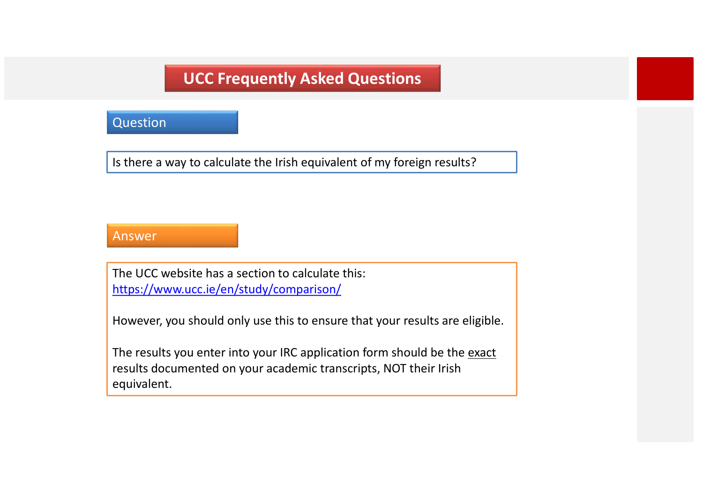### **Question**

Is there a way to calculate the Irish equivalent of my foreign results?

### Answer

The UCC website has a section to calculate this: https://www.ucc.ie/en/study/comparison/

However, you should only use this to ensure that your results are eligible.

The results you enter into your IRC application form should be the exact results documented on your academic transcripts, NOT their Irish equivalent.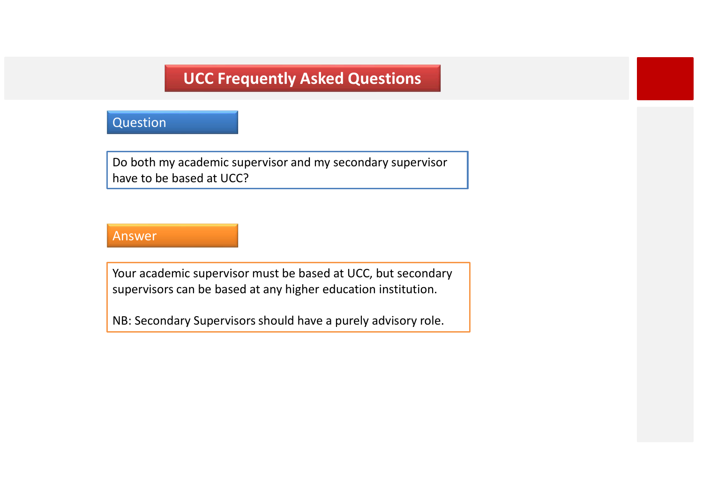### Question

Do both my academic supervisor and my secondary supervisor have to be based at UCC?

### Answer

Your academic supervisor must be based at UCC, but secondary supervisors can be based at any higher education institution.

NB: Secondary Supervisors should have a purely advisory role.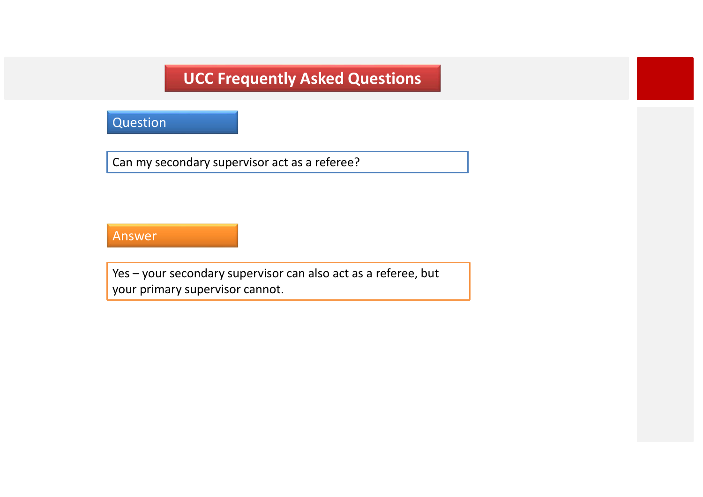# **Question**

Can my secondary supervisor act as a referee?

### Answer

VEC Frequently Asked Questions<br>
Units – your secondary supervisor act as a referee?<br>
Ves – your secondary supervisor can also act as a referee, but<br>
your primary supervisor cannot. your primary supervisor cannot.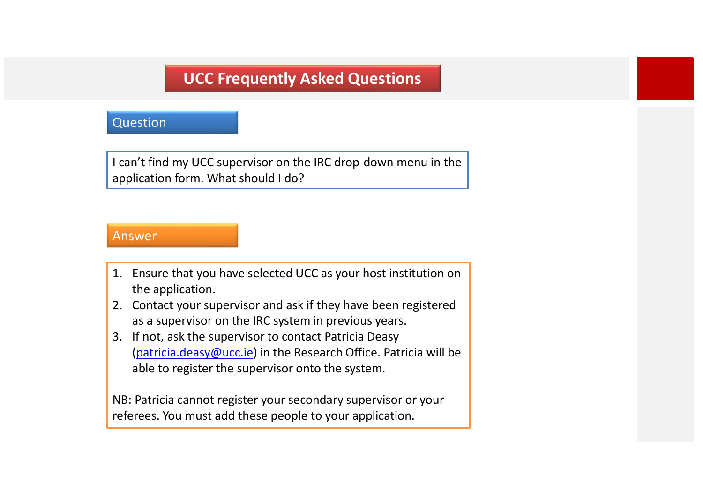### **Ouestion**

I can't find my UCC supervisor on the IRC drop-down menu in the application form. What should I do? **1. DECEMBENT CONTROVIDE CONTROVIDED**<br>
1. **Ensure that you have selected UCC as your host institution on<br>
1. Ensure that you have selected UCC as your host institution on<br>
1. Ensure that you have selected UCC as your hos** 

### Answer

- the application.
- as a supervisor on the IRC system in previous years.
- Question<br>
1 can't find my UCC supervisor on the IRC drop-down menu in the<br>
application form. What should I do?<br>
1. Ensure that you have selected UCC as your host institution on<br>
the application.<br>
2. Contact your supervisor 1 can't find my UCC supervisor on the IRC drop-down menu in the<br>application form. What should 1 do?<br>
1. Ensure that you have selected UCC as your host institution on<br>
the application.<br>
2. Contact your supervisor and ask if (patricia.deasy@ucc.ie) in the Research Office. Patricia will be able to register the supervisor onto the system.

NB: Patricia cannot register your secondary supervisor or your referees. You must add these people to your application.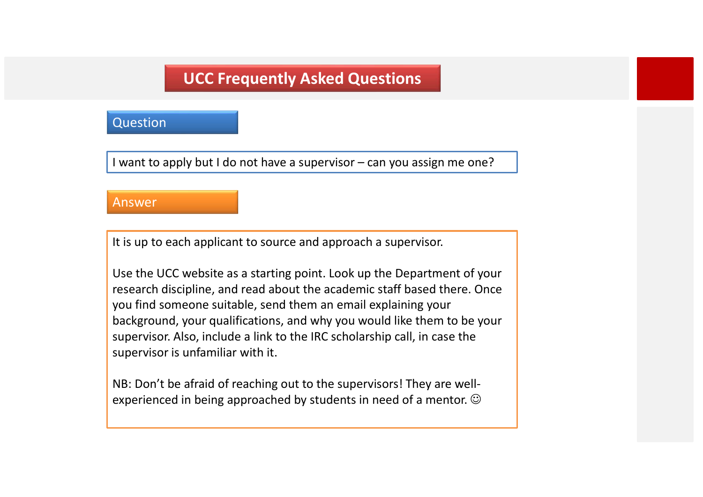### **Ouestion**

**INCOURT WAS ART WAS ART WAS A WAS ARROW WAS ARROW CONSTRENO MOVE OF THE VALUATION OF A SUPERVISOR – can you assign me one?**<br>Answer

### Answer

It is up to each applicant to source and approach a supervisor.

Use the UCC website as a starting point. Look up the Department of your research discipline, and read about the academic staff based there. Once you find someone suitable, send them an email explaining your background, your qualifications, and why you would like them to be your supervisor. Also, include a link to the IRC scholarship call, in case the supervisor is unfamiliar with it.

NB: Don't be afraid of reaching out to the supervisors! They are wellexperienced in being approached by students in need of a mentor.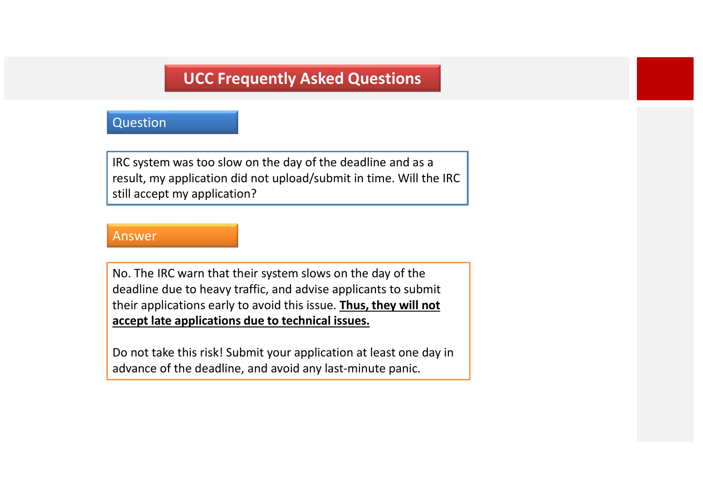### Question

IRC system was too slow on the day of the deadline and as a result, my application did not upload/submit in time. Will the IRC still accept my application?

### Answer

No. The IRC warn that their system slows on the day of the deadline due to heavy traffic, and advise applicants to submit their applications early to avoid this issue. Thus, they will not accept late applications due to technical issues.

Do not take this risk! Submit your application at least one day in advance of the deadline, and avoid any last-minute panic.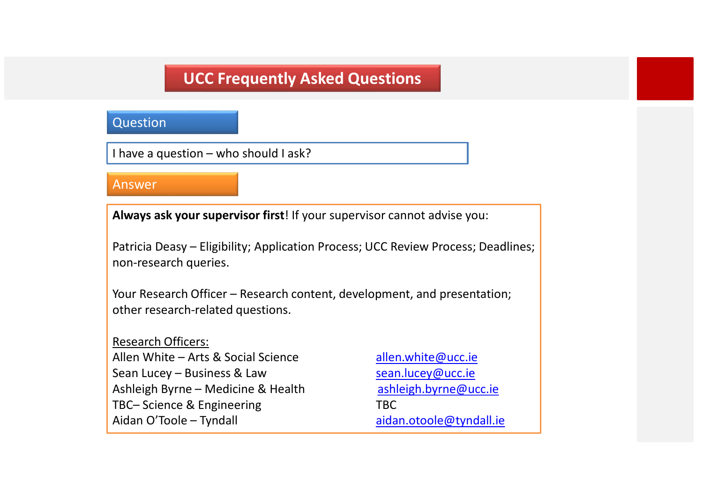# UCC Frequently Asked Questions **INCOUTT And ASKED QUESTIONS**<br>
I have a question – who should I ask?<br> **Answer Always ask your supervisor first!** If your supervisor cannot advise your

### **Ouestion**

### Answer

Always ask your supervisor first! If your supervisor cannot advise you:

**Patricia Deasy – Eligibility; Application Process; UCC Review Process; Deadlines;**<br>Patricia Deasy – Eligibility; Application Process; UCC Review Process; Deadlines;<br>Patricia Deasy – Eligibility; Application Process; UCC R non-research queries. Question<br>
I have a question – who should I ask?<br>
Answer<br>
Always ask your supervisor first! If your supervisor cannot advise you:<br>
Patricia Deasy – Eligibility; Application Process; UCC Review Process; Deadlines;<br>
Nour Rese

other research-related questions.

### Research Officers:

Fair and that a question – who should Lask?<br>
Always ask your supervisor first! If your supervisor cannot advise you:<br>
Patricia Deasy – Eligibility; Application Process; UCC Review Process; Deadlines;<br>
Pour Research Officer Answer<br>
Always ask your supervisor first! If your supervisor cannot advise you:<br>
Patricia Deasy – Eligibility; Application Process; UCC Review Process; Deadlines;<br>
non-research Officer – Research content, development, and Always ask your supervisor first! If your supervisor cannot advise you:<br>
Patricia Deasy – Eligibility; Application Process; UCC Review Process; Deadlines;<br>
non-research Officer – Research content, development, and presenta Always ask your supervisor first! If your supervisor cannot advise you:<br>
Patricia Deasy – Eligibility; Application Process; UCC Review Process; Deadlines;<br>
non-research queries.<br>
Your Research Officer – Research content, d Always ask your supervisor first! If your supervisor cannot advise you:<br>Patricia Deasy – Eligibility; Application Process; UCC Review Process; Dead<br>non-research queries.<br>Your Research Officer – Research content, developmen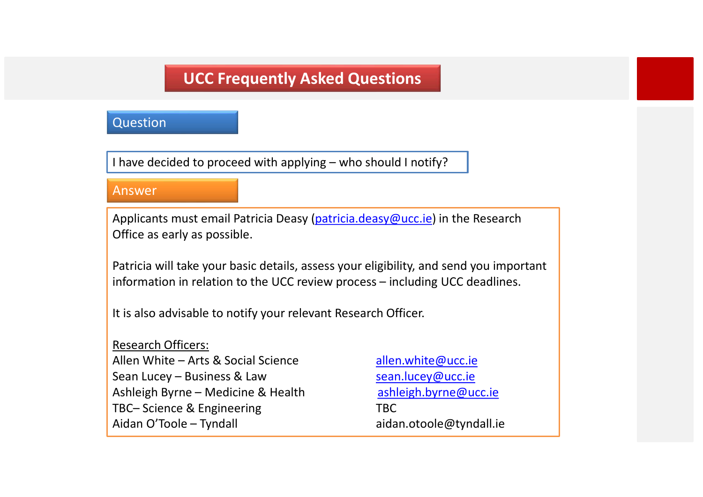### **Ouestion**

### Answer

**INCOUTT CONTINUM SEARCH CONTINUM ASKED ADDETERM**<br>I have decided to proceed with applying – who should I notify?<br>Answer<br>Applicants must email Patricia Deasy (<u>patricia deasy@ucc.ie</u>) in the Research Applicants must email Patricia Deasy (patricia.deasy@ucc.ie) in the Research Office as early as possible.

Patricia will take your basic details, assess your eligibility, and send you important **OCC Frequently Asked Questions**<br>
Question<br>
I have decided to proceed with applying – who should I notify?<br> **Answer**<br>
Applicants must email Patricia Deasy (patricia.deasy@ucc.ie) in the Research<br>
Office as early as possibl

It is also advisable to notify your relevant Research Officer.

Research Officers: I have decided to proceed with applying – who should I notify?<br>
Answer<br>
Applicants must email Patricia Deasy (patricia.deasy@ucc.ie) in the Research<br>
Office as early as possible.<br>
Patricia will take your basic details, ass Maswer<br>
Applicants must email Patricia Deasy (patricia.deasy@ucc.ie) in the Research<br>
Office as early as possible.<br>
Patricia will take your basic details, assess your eligibility, and send you important<br>
information in rel Answer<br>
Applicants must email Patricia Deasy (<u>patricia.deasy@ucc.ie</u>) in the Research<br>
Office as early as possible.<br>
Patricia will take your basic details, assess your eligibility, and send you important<br>
information in r Applicants must email Patricia Deasy (patricia.deasy@ucc.ie) in the Research<br>Office as early as possible.<br>Patricia will take your basic details, assess your eligibility, and send you importa<br>information in relation to the Applicants must email Patricia Deasy (patricia.deasy@ucc.ie) in the Research<br>Office as early as possible.<br>Patricia will take your basic details, assess your eligibility, and send you important<br>information in relation to th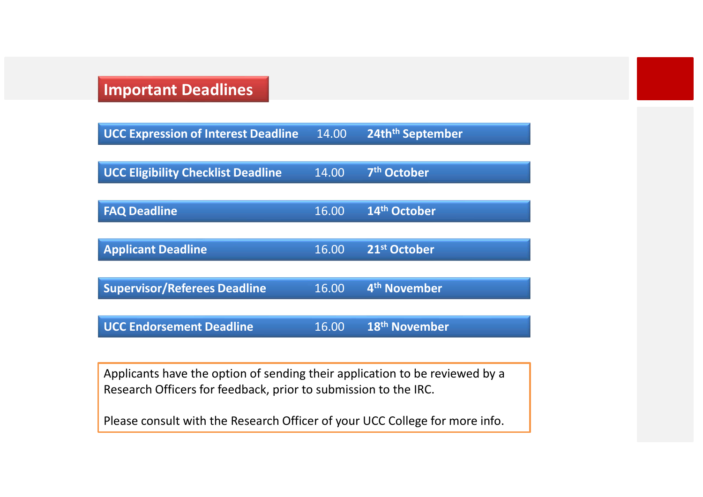# Important Deadlines

| <b>UCC Expression of Interest Deadline</b> | 14.00 | 24th <sup>th</sup> September |
|--------------------------------------------|-------|------------------------------|
|                                            |       |                              |
| <b>UCC Eligibility Checklist Deadline</b>  | 14.00 | 7 <sup>th</sup> October      |
|                                            |       |                              |
| <b>FAQ Deadline</b>                        | 16.00 | 14 <sup>th</sup> October     |
|                                            |       |                              |
| <b>Applicant Deadline</b>                  | 16.00 | 21 <sup>st</sup> October     |
|                                            |       |                              |
| <b>Supervisor/Referees Deadline</b>        | 16.00 | 4 <sup>th</sup> November     |
|                                            |       |                              |
| <b>UCC Endorsement Deadline</b>            | 16.00 | 18 <sup>th</sup> November    |

Applicants have the option of sending their application to be reviewed by a Research Officers for feedback, prior to submission to the IRC.

Please consult with the Research Officer of your UCC College for more info.